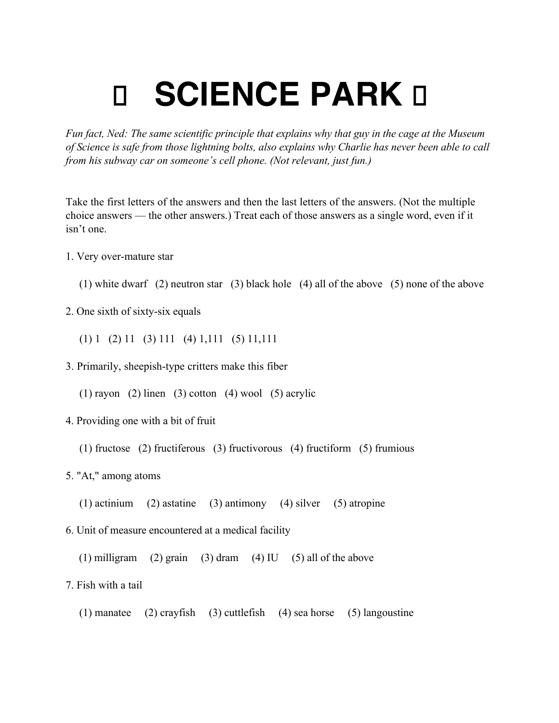## **g SCIENCE PARK II**

*Fun fact, Ned: The same scientific principle that explains why that guy in the cage at the Museum of Science is safe from those lightning bolts, also explains why Charlie has never been able to call from his subway car on someone's cell phone. (Not relevant, just fun.)*

Take the first letters of the answers and then the last letters of the answers. (Not the multiple choice answers — the other answers.) Treat each of those answers as a single word, even if it isn't one.

- 1. Very over-mature star
	- (1) white dwarf (2) neutron star (3) black hole (4) all of the above (5) none of the above
- 2. One sixth of sixty-six equals
	- $(1) 1 (2) 11 (3) 111 (4) 1,111 (5) 11,111$
- 3. Primarily, sheepish-type critters make this fiber
	- (1) rayon (2) linen (3) cotton (4) wool (5) acrylic
- 4. Providing one with a bit of fruit
	- (1) fructose (2) fructiferous (3) fructivorous (4) fructiform (5) frumious
- 5. "At," among atoms
	- (1) actinium (2) astatine (3) antimony (4) silver (5) atropine
- 6. Unit of measure encountered at a medical facility
	- (1) milligram (2) grain (3) dram (4) IU (5) all of the above
- 7. Fish with a tail
	- (1) manatee (2) crayfish (3) cuttlefish (4) sea horse (5) langoustine